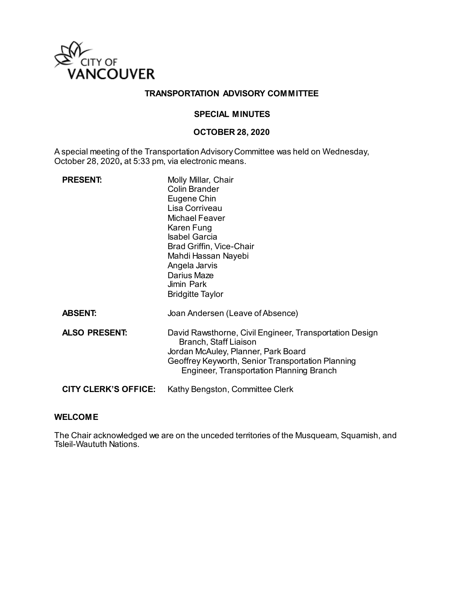

## **TRANSPORTATION ADVISORY COMMITTEE**

### **SPECIAL MINUTES**

#### **OCTOBER 28, 2020**

A special meeting of the Transportation Advisory Committee was held on Wednesday, October 28, 2020**,** at 5:33 pm, via electronic means.

| <b>PRESENT:</b>             | Molly Millar, Chair<br>Colin Brander<br>Eugene Chin<br>Lisa Corriveau<br><b>Michael Feaver</b><br>Karen Fung<br><b>Isabel Garcia</b><br>Brad Griffin, Vice-Chair<br>Mahdi Hassan Nayebi<br>Angela Jarvis<br>Darius Maze<br>Jimin Park<br><b>Bridgitte Taylor</b> |
|-----------------------------|------------------------------------------------------------------------------------------------------------------------------------------------------------------------------------------------------------------------------------------------------------------|
| <b>ABSENT:</b>              | Joan Andersen (Leave of Absence)                                                                                                                                                                                                                                 |
| <b>ALSO PRESENT:</b>        | David Rawsthorne, Civil Engineer, Transportation Design<br>Branch, Staff Liaison<br>Jordan McAuley, Planner, Park Board<br>Geoffrey Keyworth, Senior Transportation Planning<br>Engineer, Transportation Planning Branch                                         |
| <b>CITY CLERK'S OFFICE:</b> | Kathy Bengston, Committee Clerk                                                                                                                                                                                                                                  |

### **WELCOME**

The Chair acknowledged we are on the unceded territories of the Musqueam, Squamish, and Tsleil-Waututh Nations.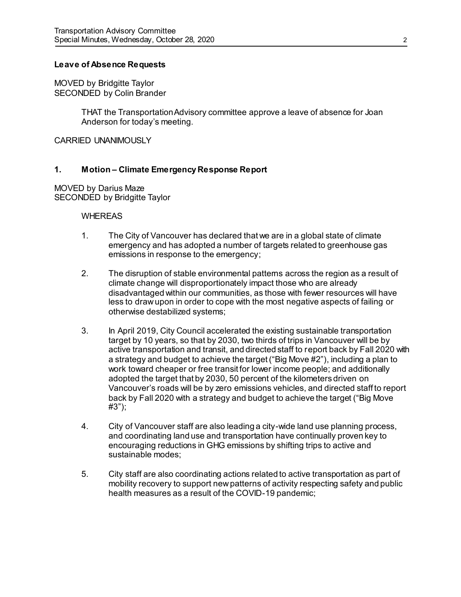### **Leave of Absence Requests**

MOVED by Bridgitte Taylor SECONDED by Colin Brander

> THAT the Transportation Advisory committee approve a leave of absence for Joan Anderson for today's meeting.

CARRIED UNANIMOUSLY

### **1. Motion – Climate Emergency Response Report**

MOVED by Darius Maze SECONDED by Bridgitte Taylor

#### **WHEREAS**

- 1. The City of Vancouver has declared that we are in a global state of climate emergency and has adopted a number of targets related to greenhouse gas emissions in response to the emergency;
- 2. The disruption of stable environmental patterns across the region as a result of climate change will disproportionately impact those who are already disadvantaged within our communities, as those with fewer resources will have less to draw upon in order to cope with the most negative aspects of failing or otherwise destabilized systems;
- 3. In April 2019, City Council accelerated the existing sustainable transportation target by 10 years, so that by 2030, two thirds of trips in Vancouver will be by active transportation and transit, and directed staff to report back by Fall 2020 with a strategy and budget to achieve the target ("Big Move #2"), including a plan to work toward cheaper or free transit for lower income people; and additionally adopted the target that by 2030, 50 percent of the kilometers driven on Vancouver's roads will be by zero emissions vehicles, and directed staff to report back by Fall 2020 with a strategy and budget to achieve the target ("Big Move #3");
- 4. City of Vancouver staff are also leading a city-wide land use planning process, and coordinating land use and transportation have continually proven key to encouraging reductions in GHG emissions by shifting trips to active and sustainable modes;
- 5. City staff are also coordinating actions related to active transportation as part of mobility recovery to support new patterns of activity respecting safety and public health measures as a result of the COVID-19 pandemic;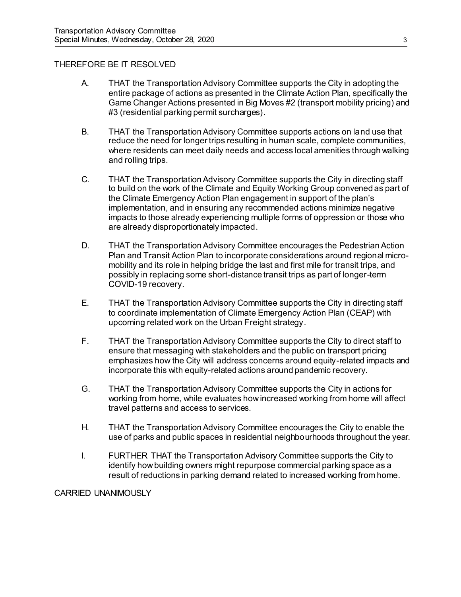## THEREFORE BE IT RESOLVED

- A. THAT the Transportation Advisory Committee supports the City in adopting the entire package of actions as presented in the Climate Action Plan, specifically the Game Changer Actions presented in Big Moves #2 (transport mobility pricing) and #3 (residential parking permit surcharges).
- B. THAT the Transportation Advisory Committee supports actions on land use that reduce the need for longer trips resulting in human scale, complete communities, where residents can meet daily needs and access local amenities through walking and rolling trips.
- C. THAT the Transportation Advisory Committee supports the City in directing staff to build on the work of the Climate and Equity Working Group convened as part of the Climate Emergency Action Plan engagement in support of the plan's implementation, and in ensuring any recommended actions minimize negative impacts to those already experiencing multiple forms of oppression or those who are already disproportionately impacted.
- D. THAT the Transportation Advisory Committee encourages the Pedestrian Action Plan and Transit Action Plan to incorporate considerations around regional micromobility and its role in helping bridge the last and first mile for transit trips, and possibly in replacing some short-distance transit trips as part of longer-term COVID-19 recovery.
- E. THAT the Transportation Advisory Committee supports the City in directing staff to coordinate implementation of Climate Emergency Action Plan (CEAP) with upcoming related work on the Urban Freight strategy.
- F. THAT the Transportation Advisory Committee supports the City to direct staff to ensure that messaging with stakeholders and the public on transport pricing emphasizes how the City will address concerns around equity-related impacts and incorporate this with equity-related actions around pandemic recovery.
- G. THAT the Transportation Advisory Committee supports the City in actions for working from home, while evaluates how increased working from home will affect travel patterns and access to services.
- H. THAT the Transportation Advisory Committee encourages the City to enable the use of parks and public spaces in residential neighbourhoods throughout the year.
- I. FURTHER THAT the Transportation Advisory Committee supports the City to identify how building owners might repurpose commercial parking space as a result of reductions in parking demand related to increased working from home.

CARRIED UNANIMOUSLY